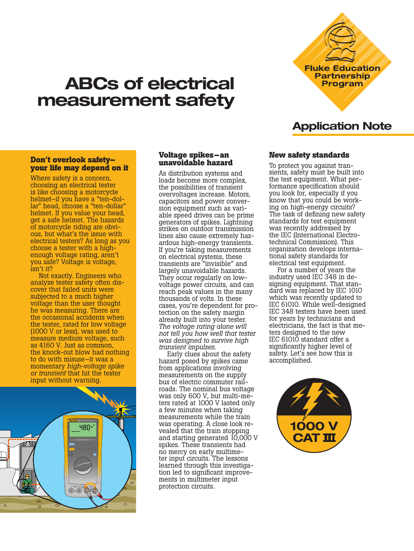# **ABCs of electrical measurement safety**

# **Don't overlook safety– your life may depend on it**

Where safety is a concern, choosing an electrical tester is like choosing a motorcycle<br>helmet–if you have a "ten-dollar" head, choose a "ten-dollar" helmet. If you value your head, get a safe helmet. The hazards ous, but what's the issue with electrical testers? As long as you choose a tester with a highenough voltage rating, aren't you safe? Voltage is voltage, isn't it?

Not exactly. Engineers who analyze tester safety often dis- cover that failed units were subjected to a much higher voltage than the user thought he was measuring. There are the occasional accidents when the tester, rated for low voltage (1000 V or less), was used to measure medium voltage, such as 4160 V. Just as common, the knock-out blow had nothing to do with misuse–it was a momentary *high-voltage spike or transient* that hit the tester input without warning.



#### **Voltage spikes–an unavoidable hazard**

As distribution systems and loads become more complex, the possibilities of transient overvoltages increase. Motors, capacitors and power conversion equipment such as variable speed drives can be prime generators of spikes. Lightning strikes on outdoor transmission lines also cause extremely hazardous high-energy transients. If you're taking measurements on electrical systems, these transients are "invisible" and largely unavoidable hazards. They occur regularly on lowvoltage power circuits, and can reach peak values in the many thousands of volts. In these cases, you're dependent for protection on the safety margin already built into your tester. *The voltage rating alone will not tell you how well that tester was designed to survive high transient impulses.*

Early clues about the safety hazard posed by spikes came from applications involving measurements on the supply bus of electric commuter railroads. The nominal bus voltage was only 600 V, but multi-meters rated at 1000 V lasted only a few minutes when taking measurements while the train was operating. A close look revealed that the train stopping and starting generated 10,000 V spikes. These transients had ter input circuits. The lessons learned through this investigation led to significant improvements in multimeter input protection circuits.

# **Application Note**

# **New safety standards**

To protect you against transients, safety must be built into the test equipment. What performance specification should you look for, especially if you know that you could be working on high-energy circuits? The task of defining new safety standards for test equipment was recently addressed by the IEC (International Electrotechnical Commission). This organization develops international safety standards for electrical test equipment.

For a number of years the industry used IEC 348 in designing equipment. That standard was replaced by IEC 1010 which was recently updated to IEC 61010. While well-designed IEC 348 testers have been used for years by technicians and electricians, the fact is that me- ters designed to the new IEC 61010 standard offer a significantly higher level of safety. Let's see how this is accomplished.



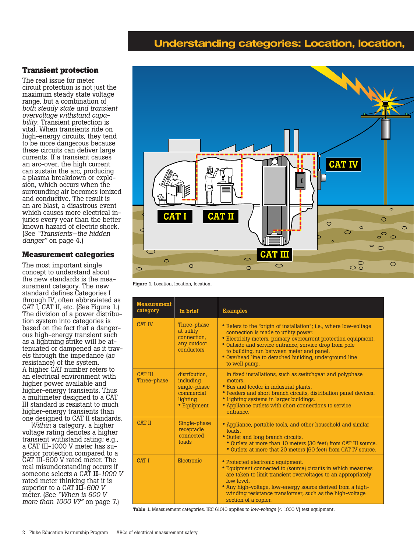# **Understanding categories: Location, location,**

# **Transient protection**

The real issue for meter circuit protection is not just the maximum steady state voltage range, but a combination of *both steady state and transient bility*. Transient protection is vital. When transients ride on high-energy circuits, they tend to be more dangerous because these circuits can deliver large currents. If a transient causes an arc-over, the high current can sustain the arc, producing a plasma breakdown or explo- sion, which occurs when the surrounding air becomes ionized and conductive. The result is an arc blast, a disastrous event which causes more electrical in- juries every year than the better known hazard of electric shock. (See *"Transients–the hidden danger"* on page 4.)

### **Measurement categories**

The most important single concept to understand about<br>the new standards is the meathe new standards is the mea- surement category. The new standard defines Categories I through IV, often abbreviated as CAT I, CAT II, etc. (See Figure 1.) The division of a power distribu- tion system into categories is based on the fact that a dangerous high-energy transient such as a lightning strike will be attenuated or dampened as it travels through the impedance (ac resistance) of the system. A higher CAT number refers to an electrical environment with higher power available and higher-energy transients. Thus a multimeter designed to a CAT III standard is resistant to much higher-energy transients than one designed to CAT II standards.

*Within* a category, a higher voltage rating denotes a higher transient withstand rating; e.g., a CAT III-1000 V meter has superior protection compared to a CAT III-600 V rated meter. The real misunderstanding occurs if someone selects a CAT II-*1000 V* rated meter thinking that it is superior to a CAT III-*600 V* meter. (See *"When is 600 V more than 1000 V?"* on page 7.)



Figure 1. Location, location, location.

| <b>Measurement</b><br>category | In brief                                                                            | <b>Examples</b>                                                                                                                                                                                                                                                                                                                                                |  |
|--------------------------------|-------------------------------------------------------------------------------------|----------------------------------------------------------------------------------------------------------------------------------------------------------------------------------------------------------------------------------------------------------------------------------------------------------------------------------------------------------------|--|
| <b>CAT IV</b>                  | Three-phase<br>at utility<br>connection.<br>any outdoor<br>conductors               | • Refers to the "origin of installation"; i.e., where low-voltage<br>connection is made to utility power.<br>• Electricity meters, primary overcurrent protection equipment.<br>• Outside and service entrance, service drop from pole<br>to building, run between meter and panel.<br>• Overhead line to detached building, underground line<br>to well pump. |  |
| <b>CAT III</b><br>Three-phase  | distribution.<br>including<br>single-phase<br>commercial<br>lighting<br>• Equipment | in fixed installations, such as switchgear and polyphase<br>motors.<br>• Bus and feeder in industrial plants.<br>• Feeders and short branch circuits, distribution panel devices.<br>• Lighting systems in larger buildings.<br>• Appliance outlets with short connections to service<br>entrance.                                                             |  |
| <b>CAT II</b>                  | Single-phase<br>receptacle<br>connected<br>loads                                    | • Appliance, portable tools, and other household and similar<br>loads<br>• Outlet and long branch circuits.<br>• Outlets at more than 10 meters (30 feet) from CAT III source.<br>• Outlets at more that 20 meters (60 feet) from CAT IV source.                                                                                                               |  |
| <b>CAT I</b>                   | Electronic                                                                          | • Protected electronic equipment.<br>• Equipment connected to (source) circuits in which measures<br>are taken to limit transient overvoltages to an appropriately<br>low level.<br>• Any high-voltage, low-energy source derived from a high-<br>winding resistance transformer, such as the high-voltage<br>section of a copier.                             |  |

Table 1. Measurement categories. IEC 61010 applies to *low-voltage* (< 1000 V) test equipment.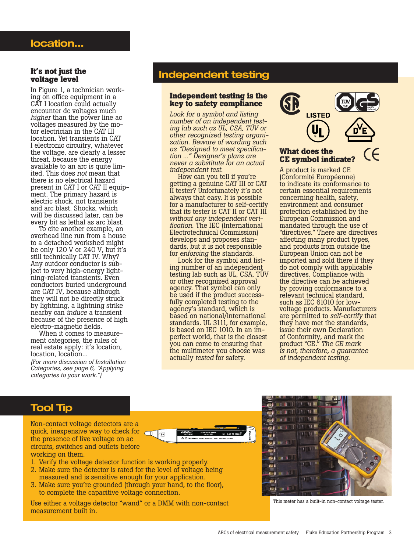#### **It's not just the voltage level**

In Figure 1, a technician working on office equipment in a CAT I location could actually encounter dc voltages much *higher* than the power line ac voltages measured by the motor electrician in the CAT III location. Yet transients in CAT I electronic circuitry, whatever the voltage, are clearly a lesser threat, because the energy available to an arc is quite limited. This does *not* mean that there is no electrical hazard present in CAT I or CAT II equipment. The primary hazard is electric shock, not transients and arc blast. Shocks, which will be discussed later, can be every bit as lethal as arc blast.

To cite another example, an overhead line run from a house to a detached workshed might be only 120 V or 240 V, but it's still technically CAT IV. Why? Any outdoor conductor is subject to very high-energy lightning-related transients. Even conductors buried underground are CAT IV, because although they will not be directly struck by lightning, a lightning strike nearby can *induce* a transient because of the presence of high electro-magnetic fields.

When it comes to measurement categories, the rules of real estate apply: it's location, location, location... *(For more discussion of Installation Categories, see page 6, "Applying categories to your work.")*

# **Independent testing**

### **Independent testing is the key to safety compliance**

*Look for a symbol and listing number of an independent testing lab such as UL, CSA, TÜV or other recognized testing organization. Beware of wording such as "Designed to meet specification ..." Designer's plans are never a substitute for an actual independent test.*

How can you tell if you're getting a genuine CAT III or CAT II tester? Unfortunately it's not always that easy. It is possible for a manufacturer to self-certify that its tester is CAT II or CAT III *without any independent verification*. The IEC (International Electrotechnical Commission) develops and proposes standards, but it is not responsible for *enforcing* the standards.

Look for the symbol and listing number of an independent testing lab such as UL, CSA, TÜV or other recognized approval agency. That symbol can only be used if the product successfully completed testing to the agency's standard, which is based on national/international standards. UL 3111, for example, is based on IEC 1010. In an imperfect world, that is the closest you can come to ensuring that the multimeter you choose was actually *tested* for safety.



# **What does the CE symbol indicate?**

A product is marked CE (Conformité Européenne) to indicate its conformance to certain essential requirements concerning health, safety, environment and consumer protection established by the European Commission and mandated through the use of "directives." There are directives affecting many product types, and products from outside the European Union can not be imported and sold there if they do not comply with applicable directives. Compliance with the directive can be achieved by proving conformance to a relevant technical standard, such as IEC 61010 for lowvoltage products. Manufacturers are permitted to *self-certify* that they have met the standards, issue their own Declaration of Conformity, and mark the product "CE." *The CE mark is not, therefore, a guarantee of independent testing.*

# **Tool Tip**

Non-contact voltage detectors are a quick, inexpensive way to check for  $\Box$ the presence of live voltage on ac circuits, switches and outlets before working on them.



- 1. Verify the voltage detector function is working properly.
- 2. Make sure the detector is rated for the level of voltage being measured and is sensitive enough for your application.
- 3. Make sure you're grounded (through your hand, to the floor), to complete the capacitive voltage connection.

Use either a voltage detector "wand" or a DMM with non-contact measurement built in.



This meter has a built-in non-contact voltage tester.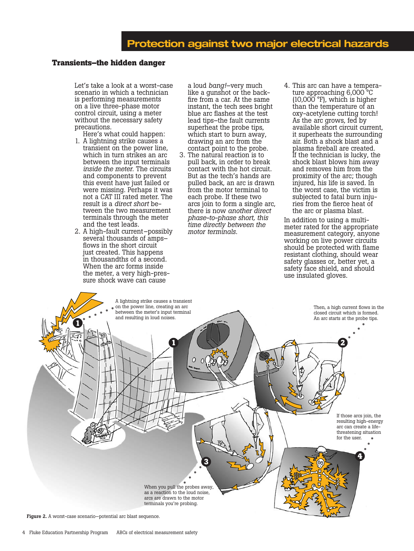# **Transients–the hidden danger**

Let's take a look at a worst-case scenario in which a technician is performing measurements on a live three-phase motor control circuit, using a meter without the necessary safety precautions.

- Here's what could happen: 1. A lightning strike causes a transient on the power line, which in turn strikes an arc between the input terminals *inside the meter.* The circuits and components to prevent this event have just failed or were missing. Perhaps it was not a CAT III rated meter. The<br>result is a *direct short* between the two measurement terminals through the meter and the test leads.
- 2. A high-fault current–possibly several thousands of amps– flows in the short circuit just created. This happens in thousandths of a second. When the arc forms inside the meter, a very high-pressure shock wave can cause

a loud *bang!*–very much like a gunshot or the backfire from a car. At the same instant, the tech sees bright blue arc flashes at the test lead tips–the fault currents superheat the probe tips, which start to burn away, drawing an arc from the contact point to the probe.

- 3. The natural reaction is to pull back, in order to break contact with the hot circuit. But as the tech's hands are pulled back, an arc is drawn from the motor terminal to each probe. If these two arcs join to form a single arc, there is now *another direct phase-to-phase short, this time directly between the motor terminals.*
- 4. This arc can have a temperature approaching 6,000 °C  $(10,000$ <sup> $\circ$ </sup>F), which is higher than the temperature of an oxy-acetylene cutting torch! As the arc grows, fed by available short circuit current, it superheats the surrounding air. Both a shock blast and a plasma fireball are created. If the technician is lucky, the shock blast blows him away and removes him from the proximity of the arc; though injured, his life is saved. In the worst case, the victim is subjected to fatal burn injuries from the fierce heat of the arc or plasma blast.

In addition to using a multimeter rated for the appropriate measurement category, anyone working on live power circuits should be protected with flame resistant clothing, should wear safety glasses or, better yet, a safety face shield, and should use insulated gloves.



Figure 2. A worst-case scenario-potential arc blast sequence.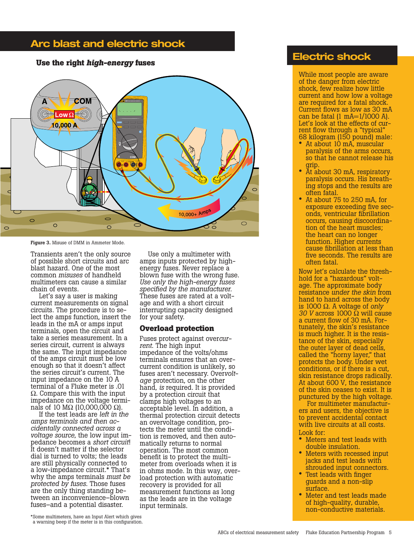# **Arc blast and electric shock**

# **Use the right** *high-energy* **fuses Electric shock**



Figure 3. Misuse of DMM in Ammeter Mode.

Transients aren't the only source of possible short circuits and arc blast hazard. One of the most common *misuses* of handheld multimeters can cause a similar chain of events.

Let's say a user is making current measurements on signal circuits. The procedure is to select the amps function, insert the leads in the mA or amps input terminals, open the circuit and take a series measurement. In a series circuit, current is always the same. The input impedance of the amps circuit must be low enough so that it doesn't affect the series circuit's current. The input impedance on the 10 A terminal of a Fluke meter is .01 Ω. Compare this with the input impedance on the voltage termi- nals of 10 MΩ (10,000,000 Ω).

If the test leads are *left in the amps terminals and then ac- cidentally connected across a voltage source*, the low input im- pedance becomes a *short circuit*! It doesn't matter if the selector dial is turned to volts; the leads are still physically connected to a low-impedance circuit.\* That's why the amps terminals *must be protected by fuses*. Those fuses are the only thing standing between an inconvenience–blown fuses–and a potential disaster.

Use only a multimeter with amps inputs protected by highenergy fuses. Never replace a blown fuse with the wrong fuse. *Use only the high-energy fuses specified by the manufacturer.* These fuses are rated at a voltage and with a short circuit interrupting capacity designed for your safety.

#### **Overload protection**

Fuses protect against over*current*. The high input impedance of the volts/ohms terminals ensures that an overcurrent condition is unlikely, so fuses aren't necessary. Over*voltage* protection, on the other hand, *is* required. It is provided by a protection circuit that clamps high voltages to an acceptable level. In addition, a thermal protection circuit detects an overvoltage condition, protects the meter until the condition is removed, and then auto- matically returns to normal operation. The most common meter from overloads when it is in ohms mode. In this way, over- load protection with automatic recovery is provided for all measurement functions as long as the leads are in the voltage input terminals.

While most people are aware of the danger from electric shock, few realize how little current and how low a voltage are required for a fatal shock. Current flows as low as 30 mA can be fatal  $(1 \text{ mA} = 1/1000 \text{ A})$ . Let's look at the effects of cur-<br>rent flow through a "typical"<br>68 kilogram (150 pound) male:

- At about 10 mA, muscular paralysis of the arms occurs, so that he cannot release his
- grip. At about 30 mA, respiratory paralysis occurs. His breath- ing stops and the results are often fatal.
- At about 75 to 250 mA, for exposure exceeding five seconds, ventricular fibrillation occurs, causing discoordination of the heart muscles; the heart can no longer function. Higher currents cause fibrillation at less than five seconds. The results are often fatal.

Now let's calculate the threshhold for a "hazardous" voltage. The approximate body resistance *under the skin* from hand to hand across the body is 1000 Ω. A voltage of *only 30 V* across 1000 Ω will cause a current flow of 30 mA. Fortunately, the skin's resistance is much higher. It is the resistance of the skin, especially the outer layer of dead cells, called the "horny layer," that protects the body. Under wet conditions, or if there is a cut, skin resistance drops radically. At about 600 V, the resistance of the skin ceases to exist. It is punctured by the high voltage.

For multimeter manufacturers and users, the objective is to prevent accidental contact with live circuits at all costs. Look for:

- Meters and test leads with double insulation.
- Meters with recessed input jacks and test leads with shrouded input connectors.
- Test leads with finger guards and a non-slip surface.
- Meter and test leads made of high-quality, durable, non-conductive materials.

<sup>\*</sup>Some multimeters, have an Input Alert which gives a warning beep if the meter is in this configuration.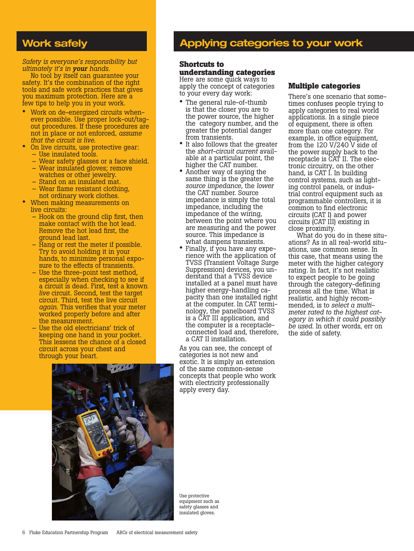# **Work safely**

*Safety is everyone's responsibility but ultimately it's in your hands.*

No tool by itself can guarantee your safety. It's the combination of the right tools and safe work practices that gives you maximum protection. Here are a few tips to help you in your work.

- Work on de-energized circuits whenever possible. Use proper lock-out/tagout procedures. If these procedures are not in place or not enforced, *assume that the circuit is live.*
- On live circuits, use protective gear: – Use insulated tools.
	- Wear safety glasses or a face shield.
	- Wear insulated gloves; remove
	- watches or other jewelry.
	- Stand on an insulated mat.
	- Wear flame resistant clothing, not ordinary work clothes.
- When making measurements on live circuits:
	- Hook on the ground clip first, then make contact with the hot lead. Remove the hot lead first, the ground lead last.
	- Hang or rest the meter if possible. Try to avoid holding it in your hands, to minimize personal exposure to the effects of transients.
	- Use the three-point test method, especially when checking to see if a circuit is dead. First, test a known *live* circuit. Second, test the target circuit. Third, test the live circuit *again*. This verifies that your meter worked properly before and after the measurement.
	- Use the old electricians' trick of keeping one hand in your pocket. This lessens the chance of a closed circuit across your chest and through your heart.



# **Applying categories to your work**

# **Shortcuts to**

**understanding categories** Here are some quick ways to apply the concept of categories to your every day work:

- The general rule-of-thumb is that the closer you are to the power source, the higher the category number, and the greater the potential danger from transients.
- It also follows that the greater<br>the *short-circuit current* available at a particular point, the higher the CAT number.
- Another way of saying the same thing is the greater the *source impedance*, the *lower* the CAT number. Source impedance is simply the total impedance, including the impedance of the wiring, between the point where you are measuring and the power source. This impedance is what dampens transients.
- Finally, if you have any expe- rience with the application of TVSS (Transient Voltage Surge Suppression) devices, you understand that a TVSS device installed at a panel must have higher energy-handling capacity than one installed right at the computer. In CAT terminology, the panelboard TVSS is a CAT III application, and the computer is a receptacleconnected load and, therefore, a CAT II installation.

As you can see, the concept of categories is not new and exotic. It is simply an extension of the same common-sense concepts that people who work with electricity professionally apply every day.

#### **Multiple categories**

There's one scenario that some- times confuses people trying to apply categories to real world applications. In a single piece of equipment, there is often more than one category. For example, in office equipment, from the 120 V/240 V side of the power supply back to the receptacle is CAT II. The electronic circuitry, on the other hand, is CAT I. In building control systems, such as lighting control panels, or industrial control equipment such as programmable controllers, it is common to find electronic circuits (CAT I) and power circuits (CAT III) existing in close proximity.

What do you do in these situations? As in all real-world situations, use common sense. In this case, that means using the meter with the higher category rating. In fact, it's not realistic to expect people to be going through the category-defining process all the time. What is realistic, and highly recommended, is to *select a multimeter rated to the highest category in which it could possibly be used*. In other words, err on the side of safety.

Use protective equipment such as safety glasses and insulated gloves.